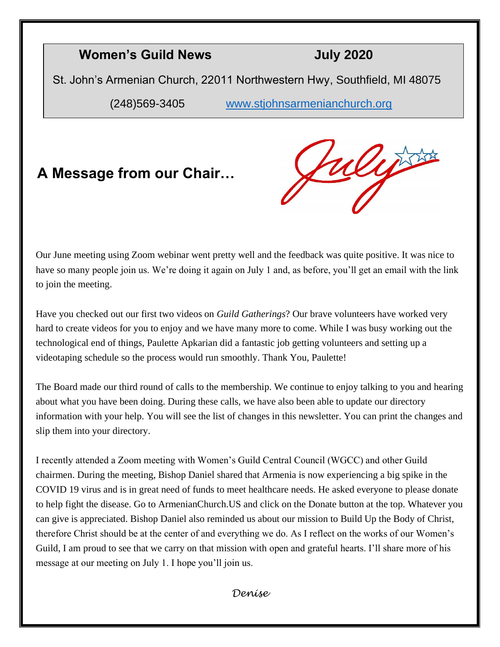#### **Women's Guild News July 2020**

St. John's Armenian Church, 22011 Northwestern Hwy, Southfield, MI 48075

(248)569-3405 [www.stjohnsarmenianchurch.org](http://www.stjohnsarmenianchurch.org/)

### **A Message from our Chair…**

ulijs

Our June meeting using Zoom webinar went pretty well and the feedback was quite positive. It was nice to have so many people join us. We're doing it again on July 1 and, as before, you'll get an email with the link to join the meeting.

Have you checked out our first two videos on *Guild Gatherings*? Our brave volunteers have worked very hard to create videos for you to enjoy and we have many more to come. While I was busy working out the technological end of things, Paulette Apkarian did a fantastic job getting volunteers and setting up a videotaping schedule so the process would run smoothly. Thank You, Paulette!

The Board made our third round of calls to the membership. We continue to enjoy talking to you and hearing about what you have been doing. During these calls, we have also been able to update our directory information with your help. You will see the list of changes in this newsletter. You can print the changes and slip them into your directory.

I recently attended a Zoom meeting with Women's Guild Central Council (WGCC) and other Guild chairmen. During the meeting, Bishop Daniel shared that Armenia is now experiencing a big spike in the COVID 19 virus and is in great need of funds to meet healthcare needs. He asked everyone to please donate to help fight the disease. Go to ArmenianChurch.US and click on the Donate button at the top. Whatever you can give is appreciated. Bishop Daniel also reminded us about our mission to Build Up the Body of Christ, therefore Christ should be at the center of and everything we do. As I reflect on the works of our Women's Guild, I am proud to see that we carry on that mission with open and grateful hearts. I'll share more of his message at our meeting on July 1. I hope you'll join us.

*Denise*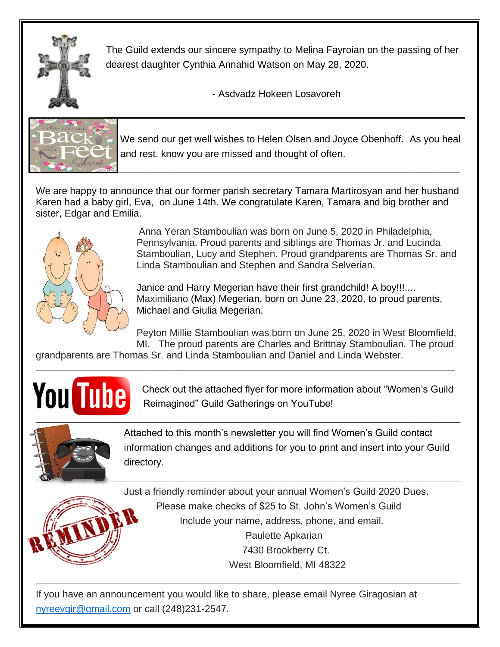

The Guild extends our sincere sympathy to Melina Fayroian on the passing of her dearest daughter Cynthia Annahid Watson on May 28, 2020.

- Asdvadz Hokeen Losavoreh



 We send our get well wishes to Helen Olsen and Joyce Obenhoff. As you heal and rest, know you are missed and thought of often.

We are happy to announce that our former parish secretary Tamara Martirosyan and her husband Karen had a baby girl, Eva, on June 14th. We congratulate Karen, Tamara and big brother and sister, Edgar and Emilia.



Anna Yeran Stamboulian was born on June 5, 2020 in Philadelphia, Pennsylvania. Proud parents and siblings are Thomas Jr. and Lucinda Stamboulian, Lucy and Stephen. Proud grandparents are Thomas Sr. and Linda Stamboulian and Stephen and Sandra Selverian.

Janice and Harry Megerian have their first grandchild! A boy!!!.... Maximiliano (Max) Megerian, born on June 23, 2020, to proud parents, Michael and Giulia Megerian.

Peyton Millie Stamboulian was born on June 25, 2020 in West Bloomfield, MI. The proud parents are Charles and Brittnay Stamboulian. The proud

grandparents are Thomas Sr. and Linda Stamboulian and Daniel and Linda Webster. **\_\_\_\_\_\_\_\_\_\_\_\_\_\_\_\_\_\_\_\_\_\_\_\_\_\_\_\_\_\_\_\_\_\_\_\_\_\_\_\_\_\_\_\_\_\_\_\_\_\_\_\_\_\_\_\_\_\_\_\_\_\_\_\_\_\_\_\_\_\_\_\_\_\_\_\_\_**



**YOU** Check out the attached flyer for more information about "Women's Guild Reimagined" Guild Gatherings on YouTube! Reimagined" Guild Gatherings on YouTube!



Attached to this month's newsletter you will find Women's Guild contact information changes and additions for you to print and insert into your Guild directory.

Just a friendly reminder about your annual Women's Guild 2020 Dues. Please make checks of \$25 to St. John's Women's Guild Include your name, address, phone, and email. Paulette Apkarian 7430 Brookberry Ct. West Bloomfield, MI 48322

If you have an announcement you would like to share, please email Nyree Giragosian at [nyreevgir@gmail.com](mailto:nyreevgir@gmail.com) or call (248)231-2547.

**\_\_\_\_\_\_\_\_\_\_\_\_\_\_\_\_\_\_\_\_\_\_\_\_\_\_\_\_\_\_\_\_\_\_\_\_\_\_\_\_\_\_\_\_\_\_\_\_\_\_\_\_\_\_\_\_\_\_\_\_\_\_\_\_\_\_\_\_\_\_\_\_\_\_\_\_\_\_**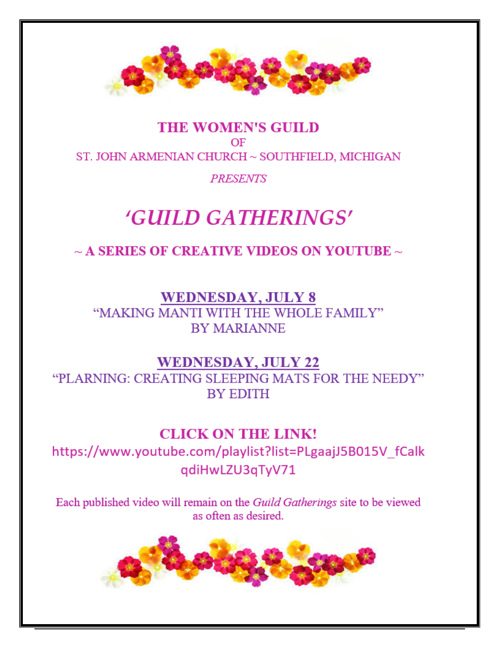

#### **THE WOMEN'S GUILD** OF ST. JOHN ARMENIAN CHURCH ~ SOUTHFIELD, MICHIGAN

#### **PRESENTS**

## **'GUILD GATHERINGS'**

 $\sim$  A SERIES OF CREATIVE VIDEOS ON YOUTUBE  $\sim$ 

**WEDNESDAY, JULY 8** "MAKING MANTI WITH THE WHOLE FAMILY" **BY MARIANNE** 

#### **WEDNESDAY, JULY 22**

"PLARNING: CREATING SLEEPING MATS FOR THE NEEDY" **BY EDITH** 

#### **CLICK ON THE LINK!**

https://www.youtube.com/playlist?list=PLgaajJ5B015V\_fCalk qdiHwLZU3qTyV71

Each published video will remain on the Guild Gatherings site to be viewed as often as desired.

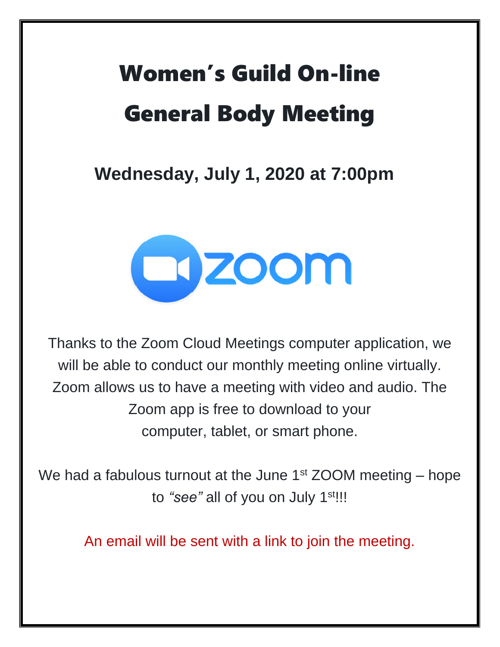# Women's Guild On-line General Body Meeting

**Wednesday, July 1, 2020 at 7:00pm**



Thanks to the Zoom Cloud Meetings computer application, we will be able to conduct our monthly meeting online virtually. Zoom allows us to have a meeting with video and audio. The Zoom app is free to download to your computer, tablet, or smart phone.

We had a fabulous turnout at the June  $1<sup>st</sup> ZOOM$  meeting – hope to "see" all of you on July 1<sup>st!!!</sup>

An email will be sent with a link to join the meeting.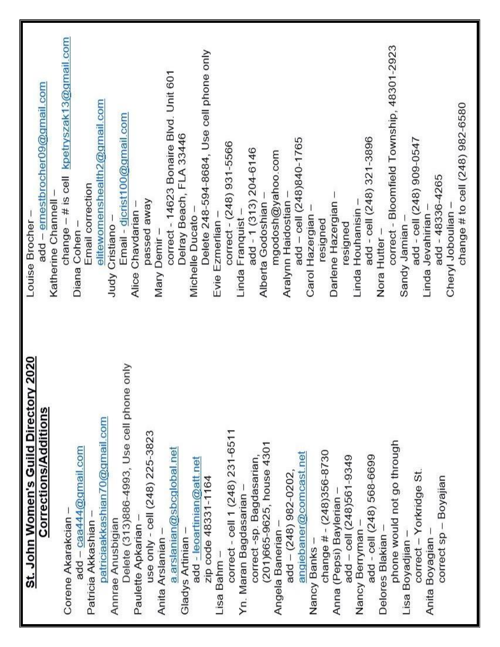| St. John Women's Guild Directory 2020     | Louise Brocher -                          |
|-------------------------------------------|-------------------------------------------|
| <b>Corrections/Additions</b>              | add - emestbrocher09@gmail.com            |
|                                           | Katherine Channell -                      |
| Corene Akarakcian                         | change - # is cell kpetryszak13@gmail.com |
| add - caa444@gmail.com                    | Diana Cohen-                              |
| Patricia Akkashian                        | Email correction                          |
| patriciaakkashian70@gmail.com             | elitewomenshealth2@gmail.com              |
| Annrae Anusbigian                         | Judy Cristiano                            |
| Delete (313)886-4993, Use cell phone only | Email - djcrist100@gmail.com              |
| Paulette Apkarian -                       | Alice Chavdarian -                        |
| use only - cell (248) 225-3823            | passed away                               |
| Anita Arslanian -                         | Mary Demir-                               |
| a.arslanian@sbcglobal.net                 | correct - 14623 Bonaire Blvd. Unit 601    |
| Gladys Artinian                           | Delray Beach, FLA 33446                   |
| add - leoartinian@att.net                 | Michelle Ducato -                         |
| zip code 48331-1164                       | Delete 248-594-8684, Use cell phone only  |
| Lisa Bahm -                               | Evie Ezmerlian                            |
| correct - cell 1 (248) 231-6511           | correct - (248) 931-5566                  |
| Yn. Maran Bagdasarian -                   | Linda Franquist                           |
| correct -sp. Bagdasarian,                 | add - 1 (313) 204-6146                    |
| (201)665-9625, house 4301                 | Alberta Godoshian                         |
| Angela Banerian -                         | mgodosh@yahoo.com                         |
| add - (248) 982-0202,                     | Aralynn Haidostian                        |
| angiebaner@comcast.net                    | add - cell (248)840-1765                  |
| Nancy Banks-                              | Carol Hazergian                           |
| change $\#$ - (248)356-8730               | resigned                                  |
| Anna (Pepsi) Baylerian                    | Darlene Hazergian                         |
| add - cell (248)561-9349                  | resigned                                  |
| Nancy Berryman                            | Linda Houhanisin -                        |
| add - cell (248) 568-6699                 | add - cell (248) 321-3896                 |
| Delores Blakian                           | Nora Hutter-                              |
| phone would not go through                | correct - Bloomfield Township, 48301-2923 |
| Lisa Boyadjian                            | Sandy Jamian                              |
| correct - Yorkridge St.                   | add - cell (248) 909-0547                 |
| Anita Boyagian-                           | add - 48336-4265<br>Linda Jevahirian      |
| correct sp - Boyajian                     | Cheryl Joboulian                          |
|                                           | change # to cell (248) 982-6580           |
|                                           |                                           |